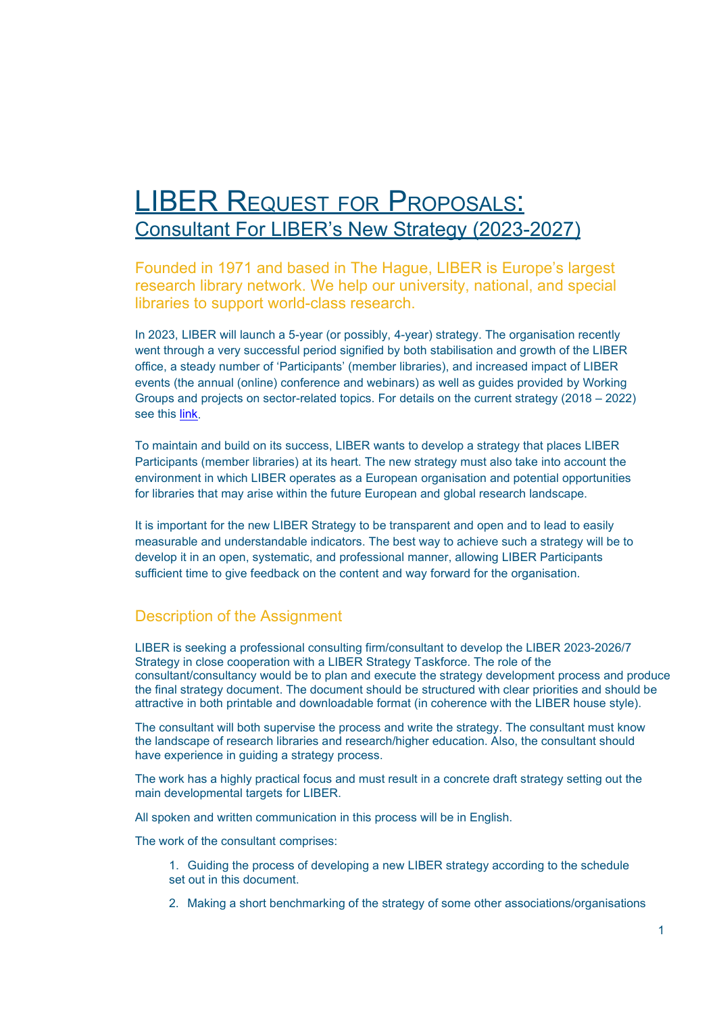# LIBER REQUEST FOR PROPOSALS: Consultant For LIBER's New Strategy (2023-2027)

Founded in 1971 and based in The Hague, LIBER is Europe's largest research library network. We help our university, national, and special libraries to support world-class research.

In 2023, LIBER will launch a 5-year (or possibly, 4-year) strategy. The organisation recently went through a very successful period signified by both stabilisation and growth of the LIBER office, a steady number of 'Participants' (member libraries), and increased impact of LIBER events (the annual (online) conference and webinars) as well as guides provided by Working Groups and projects on sector-related topics. For details on the current strategy (2018 – 2022) see this [link.](https://libereurope.eu/wp-content/uploads/2020/10/LIBER-Strategy-2018-2022.pdf)

To maintain and build on its success, LIBER wants to develop a strategy that places LIBER Participants (member libraries) at its heart. The new strategy must also take into account the environment in which LIBER operates as a European organisation and potential opportunities for libraries that may arise within the future European and global research landscape.

It is important for the new LIBER Strategy to be transparent and open and to lead to easily measurable and understandable indicators. The best way to achieve such a strategy will be to develop it in an open, systematic, and professional manner, allowing LIBER Participants sufficient time to give feedback on the content and way forward for the organisation.

# Description of the Assignment

LIBER is seeking a professional consulting firm/consultant to develop the LIBER 2023-2026/7 Strategy in close cooperation with a LIBER Strategy Taskforce. The role of the consultant/consultancy would be to plan and execute the strategy development process and produce the final strategy document. The document should be structured with clear priorities and should be attractive in both printable and downloadable format (in coherence with the LIBER house style).

The consultant will both supervise the process and write the strategy. The consultant must know the landscape of research libraries and research/higher education. Also, the consultant should have experience in guiding a strategy process.

The work has a highly practical focus and must result in a concrete draft strategy setting out the main developmental targets for LIBER.

All spoken and written communication in this process will be in English.

The work of the consultant comprises:

1. Guiding the process of developing a new LIBER strategy according to the schedule set out in this document.

2. Making a short benchmarking of the strategy of some other associations/organisations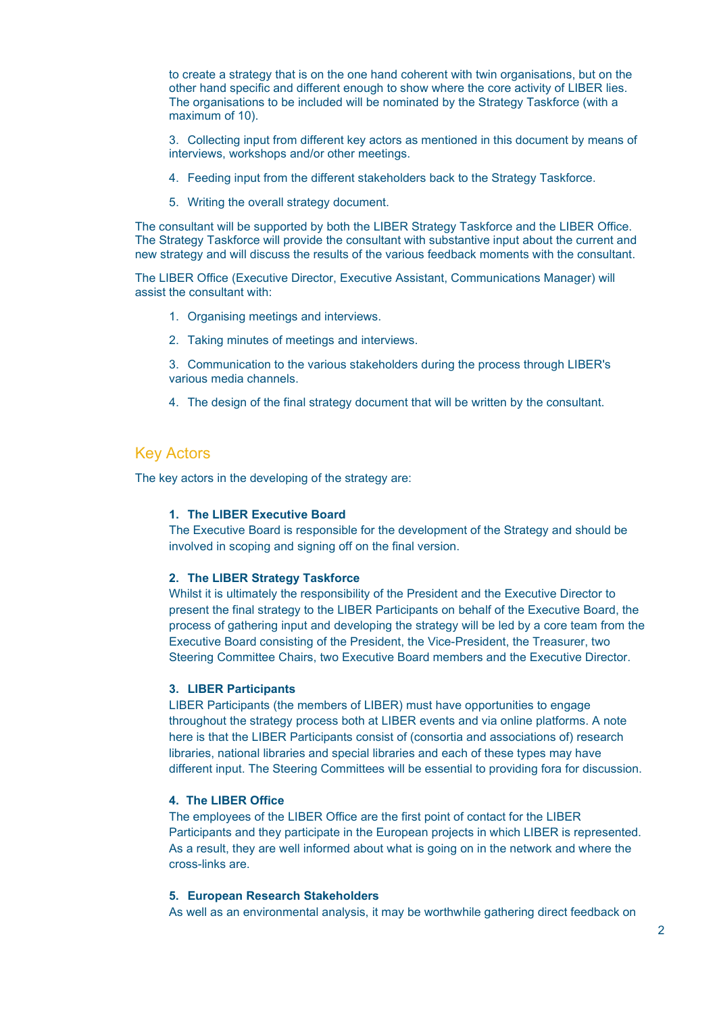to create a strategy that is on the one hand coherent with twin organisations, but on the other hand specific and different enough to show where the core activity of LIBER lies. The organisations to be included will be nominated by the Strategy Taskforce (with a maximum of 10).

3. Collecting input from different key actors as mentioned in this document by means of interviews, workshops and/or other meetings.

- 4. Feeding input from the different stakeholders back to the Strategy Taskforce.
- 5. Writing the overall strategy document.

The consultant will be supported by both the LIBER Strategy Taskforce and the LIBER Office. The Strategy Taskforce will provide the consultant with substantive input about the current and new strategy and will discuss the results of the various feedback moments with the consultant.

The LIBER Office (Executive Director, Executive Assistant, Communications Manager) will assist the consultant with:

- 1. Organising meetings and interviews.
- 2. Taking minutes of meetings and interviews.
- 3. Communication to the various stakeholders during the process through LIBER's various media channels.
- 4. The design of the final strategy document that will be written by the consultant.

## Key Actors

The key actors in the developing of the strategy are:

## **1. The LIBER Executive Board**

The Executive Board is responsible for the development of the Strategy and should be involved in scoping and signing off on the final version.

#### **2. The LIBER Strategy Taskforce**

Whilst it is ultimately the responsibility of the President and the Executive Director to present the final strategy to the LIBER Participants on behalf of the Executive Board, the process of gathering input and developing the strategy will be led by a core team from the Executive Board consisting of the President, the Vice-President, the Treasurer, two Steering Committee Chairs, two Executive Board members and the Executive Director.

#### **3. LIBER Participants**

LIBER Participants (the members of LIBER) must have opportunities to engage throughout the strategy process both at LIBER events and via online platforms. A note here is that the LIBER Participants consist of (consortia and associations of) research libraries, national libraries and special libraries and each of these types may have different input. The Steering Committees will be essential to providing fora for discussion.

### **4. The LIBER Office**

The employees of the LIBER Office are the first point of contact for the LIBER Participants and they participate in the European projects in which LIBER is represented. As a result, they are well informed about what is going on in the network and where the cross-links are.

### **5. European Research Stakeholders**

As well as an environmental analysis, it may be worthwhile gathering direct feedback on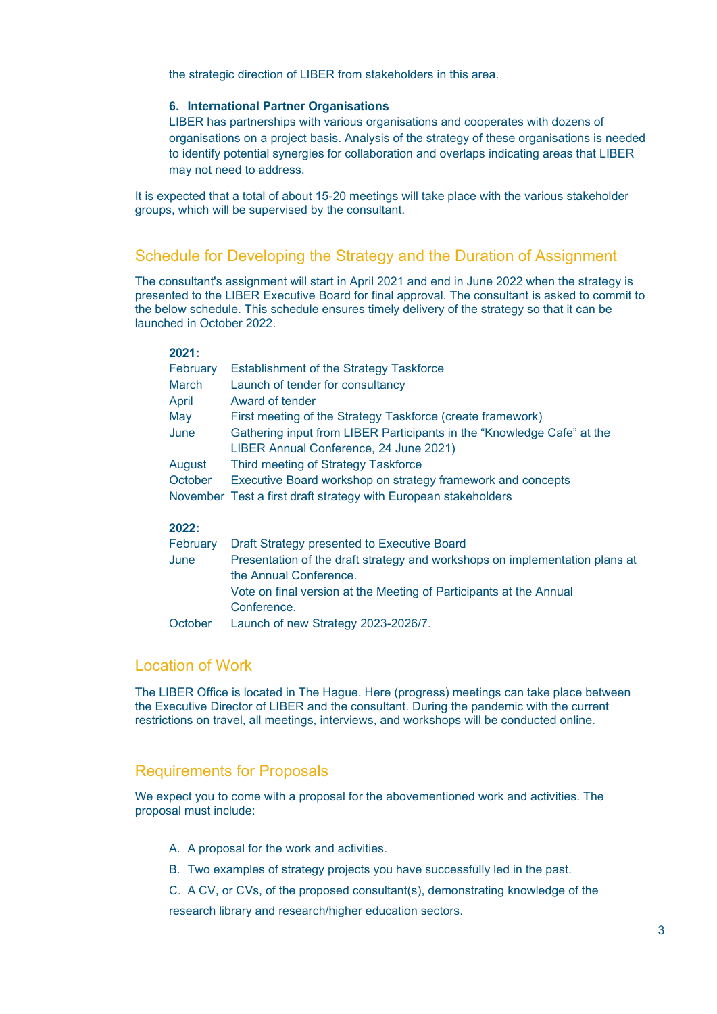the strategic direction of LIBER from stakeholders in this area.

### **6. International Partner Organisations**

LIBER has partnerships with various organisations and cooperates with dozens of organisations on a project basis. Analysis of the strategy of these organisations is needed to identify potential synergies for collaboration and overlaps indicating areas that LIBER may not need to address.

It is expected that a total of about 15-20 meetings will take place with the various stakeholder groups, which will be supervised by the consultant.

## Schedule for Developing the Strategy and the Duration of Assignment

The consultant's assignment will start in April 2021 and end in June 2022 when the strategy is presented to the LIBER Executive Board for final approval. The consultant is asked to commit to the below schedule. This schedule ensures timely delivery of the strategy so that it can be launched in October 2022.

## **2021:**

| February | <b>Establishment of the Strategy Taskforce</b>                              |
|----------|-----------------------------------------------------------------------------|
| March    | Launch of tender for consultancy                                            |
| April    | Award of tender                                                             |
| May      | First meeting of the Strategy Taskforce (create framework)                  |
| June     | Gathering input from LIBER Participants in the "Knowledge Cafe" at the      |
|          | LIBER Annual Conference, 24 June 2021)                                      |
| August   | Third meeting of Strategy Taskforce                                         |
| October  | Executive Board workshop on strategy framework and concepts                 |
|          | November Test a first draft strategy with European stakeholders             |
| 2022:    |                                                                             |
| February | Draft Strategy presented to Executive Board                                 |
| June     | Presentation of the draft strategy and workshops on implementation plans at |
|          | the Annual Conference.                                                      |
|          | Vote on final version at the Meeting of Participants at the Annual          |
|          | Conference.                                                                 |

October Launch of new Strategy 2023-2026/7.

## Location of Work

The LIBER Office is located in The Hague. Here (progress) meetings can take place between the Executive Director of LIBER and the consultant. During the pandemic with the current restrictions on travel, all meetings, interviews, and workshops will be conducted online.

## Requirements for Proposals

We expect you to come with a proposal for the abovementioned work and activities. The proposal must include:

- A. A proposal for the work and activities.
- B. Two examples of strategy projects you have successfully led in the past.
- C. A CV, or CVs, of the proposed consultant(s), demonstrating knowledge of the

research library and research/higher education sectors.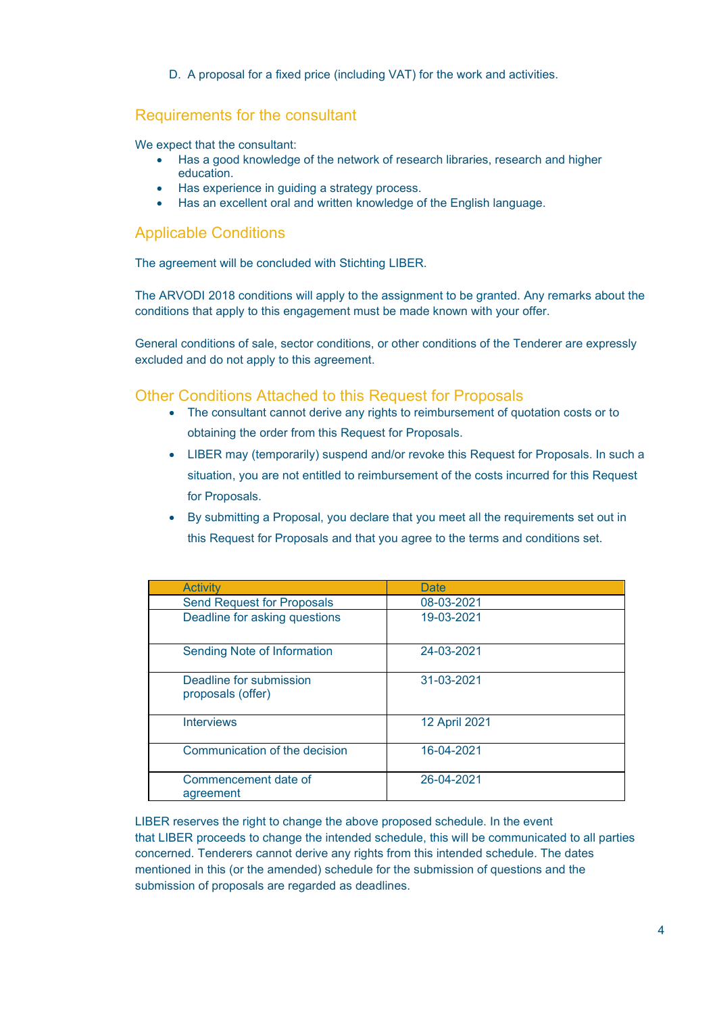D. A proposal for a fixed price (including VAT) for the work and activities.

# Requirements for the consultant

We expect that the consultant:

- Has a good knowledge of the network of research libraries, research and higher education.
- Has experience in guiding a strategy process.
- Has an excellent oral and written knowledge of the English language.

# Applicable Conditions

The agreement will be concluded with Stichting LIBER.

The ARVODI 2018 conditions will apply to the assignment to be granted. Any remarks about the conditions that apply to this engagement must be made known with your offer.

General conditions of sale, sector conditions, or other conditions of the Tenderer are expressly excluded and do not apply to this agreement.

## Other Conditions Attached to this Request for Proposals

- The consultant cannot derive any rights to reimbursement of quotation costs or to obtaining the order from this Request for Proposals.
- LIBER may (temporarily) suspend and/or revoke this Request for Proposals. In such a situation, you are not entitled to reimbursement of the costs incurred for this Request for Proposals.
- By submitting a Proposal, you declare that you meet all the requirements set out in this Request for Proposals and that you agree to the terms and conditions set.

| <b>Activity</b>                              | Date          |
|----------------------------------------------|---------------|
| <b>Send Request for Proposals</b>            | 08-03-2021    |
| Deadline for asking questions                | 19-03-2021    |
| Sending Note of Information                  | 24-03-2021    |
| Deadline for submission<br>proposals (offer) | 31-03-2021    |
| <b>Interviews</b>                            | 12 April 2021 |
| Communication of the decision                | 16-04-2021    |
| Commencement date of<br>agreement            | 26-04-2021    |

LIBER reserves the right to change the above proposed schedule. In the event that LIBER proceeds to change the intended schedule, this will be communicated to all parties concerned. Tenderers cannot derive any rights from this intended schedule. The dates mentioned in this (or the amended) schedule for the submission of questions and the submission of proposals are regarded as deadlines.